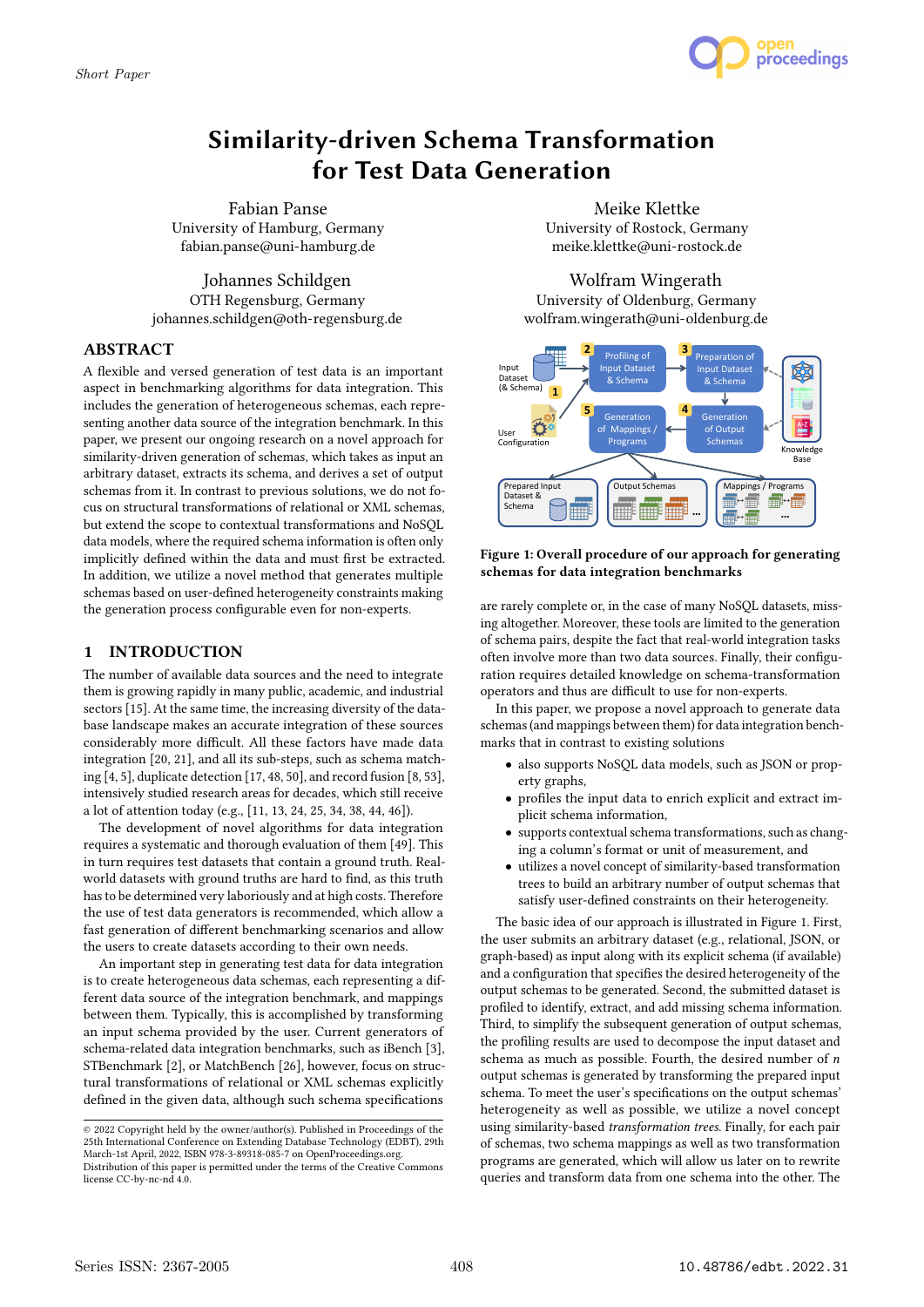

# Similarity-driven Schema Transformation for Test Data Generation

Fabian Panse University of Hamburg, Germany fabian.panse@uni-hamburg.de

Johannes Schildgen OTH Regensburg, Germany johannes.schildgen@oth-regensburg.de

# ABSTRACT

A flexible and versed generation of test data is an important aspect in benchmarking algorithms for data integration. This includes the generation of heterogeneous schemas, each representing another data source of the integration benchmark. In this paper, we present our ongoing research on a novel approach for similarity-driven generation of schemas, which takes as input an arbitrary dataset, extracts its schema, and derives a set of output schemas from it. In contrast to previous solutions, we do not focus on structural transformations of relational or XML schemas, but extend the scope to contextual transformations and NoSQL data models, where the required schema information is often only implicitly defined within the data and must first be extracted. In addition, we utilize a novel method that generates multiple schemas based on user-defined heterogeneity constraints making the generation process configurable even for non-experts.

# 1 INTRODUCTION

The number of available data sources and the need to integrate them is growing rapidly in many public, academic, and industrial sectors [15]. At the same time, the increasing diversity of the database landscape makes an accurate integration of these sources considerably more difficult. All these factors have made data integration [20, 21], and all its sub-steps, such as schema matching [4, 5], duplicate detection [17, 48, 50], and record fusion [8, 53], intensively studied research areas for decades, which still receive a lot of attention today (e.g., [11, 13, 24, 25, 34, 38, 44, 46]).

The development of novel algorithms for data integration requires a systematic and thorough evaluation of them [49]. This in turn requires test datasets that contain a ground truth. Realworld datasets with ground truths are hard to find, as this truth has to be determined very laboriously and at high costs. Therefore the use of test data generators is recommended, which allow a fast generation of different benchmarking scenarios and allow the users to create datasets according to their own needs.

An important step in generating test data for data integration is to create heterogeneous data schemas, each representing a different data source of the integration benchmark, and mappings between them. Typically, this is accomplished by transforming an input schema provided by the user. Current generators of schema-related data integration benchmarks, such as iBench [3], STBenchmark [2], or MatchBench [26], however, focus on structural transformations of relational or XML schemas explicitly defined in the given data, although such schema specifications

Meike Klettke University of Rostock, Germany meike.klettke@uni-rostock.de

Wolfram Wingerath University of Oldenburg, Germany wolfram.wingerath@uni-oldenburg.de **1.**



## Figure 1: Overall procedure of our approach for generating schemas for data integration benchmarks

are rarely complete or, in the case of many NoSQL datasets, missing altogether. Moreover, these tools are limited to the generation of schema pairs, despite the fact that real-world integration tasks often involve more than two data sources. Finally, their configuration requires detailed knowledge on schema-transformation operators and thus are difficult to use for non-experts.

In this paper, we propose a novel approach to generate data schemas (and mappings between them) for data integration benchmarks that in contrast to existing solutions

- also supports NoSQL data models, such as JSON or property graphs,
- profiles the input data to enrich explicit and extract implicit schema information,
- supports contextual schema transformations, such as changing a column's format or unit of measurement, and
- utilizes a novel concept of similarity-based transformation trees to build an arbitrary number of output schemas that satisfy user-defined constraints on their heterogeneity.

The basic idea of our approach is illustrated in Figure 1. First, the user submits an arbitrary dataset (e.g., relational, JSON, or graph-based) as input along with its explicit schema (if available) and a configuration that specifies the desired heterogeneity of the output schemas to be generated. Second, the submitted dataset is profiled to identify, extract, and add missing schema information. Third, to simplify the subsequent generation of output schemas, the profiling results are used to decompose the input dataset and schema as much as possible. Fourth, the desired number of  $n$ output schemas is generated by transforming the prepared input schema. To meet the user's specifications on the output schemas' heterogeneity as well as possible, we utilize a novel concept using similarity-based transformation trees. Finally, for each pair of schemas, two schema mappings as well as two transformation programs are generated, which will allow us later on to rewrite queries and transform data from one schema into the other. The

<sup>©</sup> 2022 Copyright held by the owner/author(s). Published in Proceedings of the 25th International Conference on Extending Database Technology (EDBT), 29th March-1st April, 2022, ISBN 978-3-89318-085-7 on OpenProceedings.org. Distribution of this paper is permitted under the terms of the Creative Commons

license CC-by-nc-nd 4.0.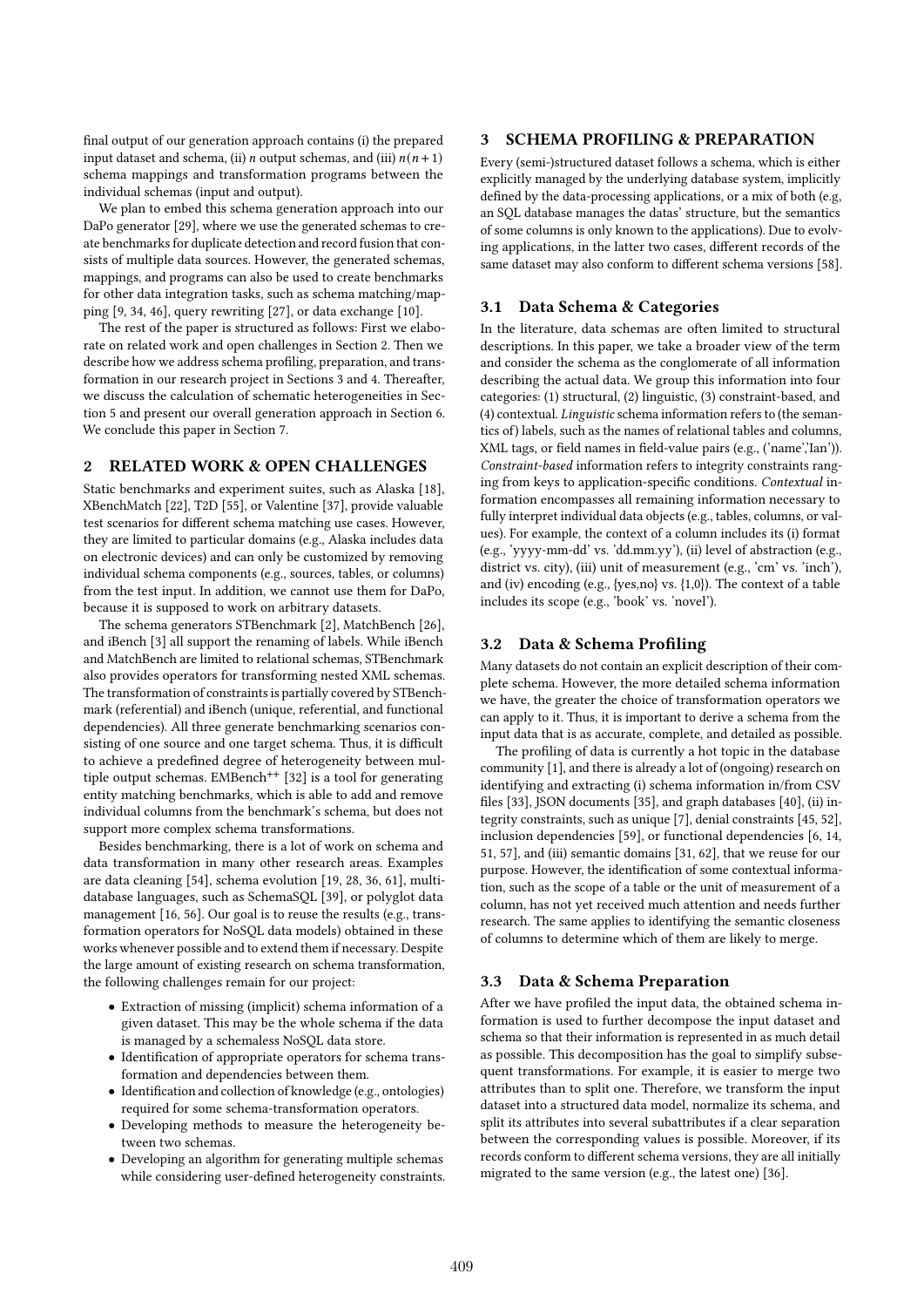final output of our generation approach contains (i) the prepared input dataset and schema, (ii) *n* output schemas, and (iii)  $n(n + 1)$ schema mappings and transformation programs between the individual schemas (input and output).

We plan to embed this schema generation approach into our DaPo generator [29], where we use the generated schemas to create benchmarks for duplicate detection and record fusion that consists of multiple data sources. However, the generated schemas, mappings, and programs can also be used to create benchmarks for other data integration tasks, such as schema matching/mapping [9, 34, 46], query rewriting [27], or data exchange [10].

The rest of the paper is structured as follows: First we elaborate on related work and open challenges in Section 2. Then we describe how we address schema profiling, preparation, and transformation in our research project in Sections 3 and 4. Thereafter, we discuss the calculation of schematic heterogeneities in Section 5 and present our overall generation approach in Section 6. We conclude this paper in Section 7.

# 2 RELATED WORK & OPEN CHALLENGES

Static benchmarks and experiment suites, such as Alaska [18], XBenchMatch [22], T2D [55], or Valentine [37], provide valuable test scenarios for different schema matching use cases. However, they are limited to particular domains (e.g., Alaska includes data on electronic devices) and can only be customized by removing individual schema components (e.g., sources, tables, or columns) from the test input. In addition, we cannot use them for DaPo, because it is supposed to work on arbitrary datasets.

The schema generators STBenchmark [2], MatchBench [26], and iBench [3] all support the renaming of labels. While iBench and MatchBench are limited to relational schemas, STBenchmark also provides operators for transforming nested XML schemas. The transformation of constraints is partially covered by STBenchmark (referential) and iBench (unique, referential, and functional dependencies). All three generate benchmarking scenarios consisting of one source and one target schema. Thus, it is difficult to achieve a predefined degree of heterogeneity between multiple output schemas. EMBench<sup>++</sup> [32] is a tool for generating entity matching benchmarks, which is able to add and remove individual columns from the benchmark's schema, but does not support more complex schema transformations.

Besides benchmarking, there is a lot of work on schema and data transformation in many other research areas. Examples are data cleaning [54], schema evolution [19, 28, 36, 61], multidatabase languages, such as SchemaSQL [39], or polyglot data management [16, 56]. Our goal is to reuse the results (e.g., transformation operators for NoSQL data models) obtained in these works whenever possible and to extend them if necessary. Despite the large amount of existing research on schema transformation, the following challenges remain for our project:

- Extraction of missing (implicit) schema information of a given dataset. This may be the whole schema if the data is managed by a schemaless NoSQL data store.
- Identification of appropriate operators for schema transformation and dependencies between them.
- Identification and collection of knowledge (e.g., ontologies) required for some schema-transformation operators.
- Developing methods to measure the heterogeneity between two schemas.
- Developing an algorithm for generating multiple schemas while considering user-defined heterogeneity constraints.

# 3 SCHEMA PROFILING & PREPARATION

Every (semi-)structured dataset follows a schema, which is either explicitly managed by the underlying database system, implicitly defined by the data-processing applications, or a mix of both (e.g, an SQL database manages the datas' structure, but the semantics of some columns is only known to the applications). Due to evolving applications, in the latter two cases, different records of the same dataset may also conform to different schema versions [58].

#### 3.1 Data Schema & Categories

In the literature, data schemas are often limited to structural descriptions. In this paper, we take a broader view of the term and consider the schema as the conglomerate of all information describing the actual data. We group this information into four categories: (1) structural, (2) linguistic, (3) constraint-based, and (4) contextual. Linguistic schema information refers to (the semantics of) labels, such as the names of relational tables and columns, XML tags, or field names in field-value pairs (e.g., ('name','Ian')). Constraint-based information refers to integrity constraints ranging from keys to application-specific conditions. Contextual information encompasses all remaining information necessary to fully interpret individual data objects (e.g., tables, columns, or values). For example, the context of a column includes its (i) format (e.g., 'yyyy-mm-dd' vs. 'dd.mm.yy'), (ii) level of abstraction (e.g., district vs. city), (iii) unit of measurement (e.g., 'cm' vs. 'inch'), and (iv) encoding (e.g., {yes,no} vs. {1,0}). The context of a table includes its scope (e.g., 'book' vs. 'novel').

## 3.2 Data & Schema Profiling

Many datasets do not contain an explicit description of their complete schema. However, the more detailed schema information we have, the greater the choice of transformation operators we can apply to it. Thus, it is important to derive a schema from the input data that is as accurate, complete, and detailed as possible.

The profiling of data is currently a hot topic in the database community [1], and there is already a lot of (ongoing) research on identifying and extracting (i) schema information in/from CSV files [33], JSON documents [35], and graph databases [40], (ii) integrity constraints, such as unique [7], denial constraints [45, 52], inclusion dependencies [59], or functional dependencies [6, 14, 51, 57], and (iii) semantic domains [31, 62], that we reuse for our purpose. However, the identification of some contextual information, such as the scope of a table or the unit of measurement of a column, has not yet received much attention and needs further research. The same applies to identifying the semantic closeness of columns to determine which of them are likely to merge.

#### 3.3 Data & Schema Preparation

After we have profiled the input data, the obtained schema information is used to further decompose the input dataset and schema so that their information is represented in as much detail as possible. This decomposition has the goal to simplify subsequent transformations. For example, it is easier to merge two attributes than to split one. Therefore, we transform the input dataset into a structured data model, normalize its schema, and split its attributes into several subattributes if a clear separation between the corresponding values is possible. Moreover, if its records conform to different schema versions, they are all initially migrated to the same version (e.g., the latest one) [36].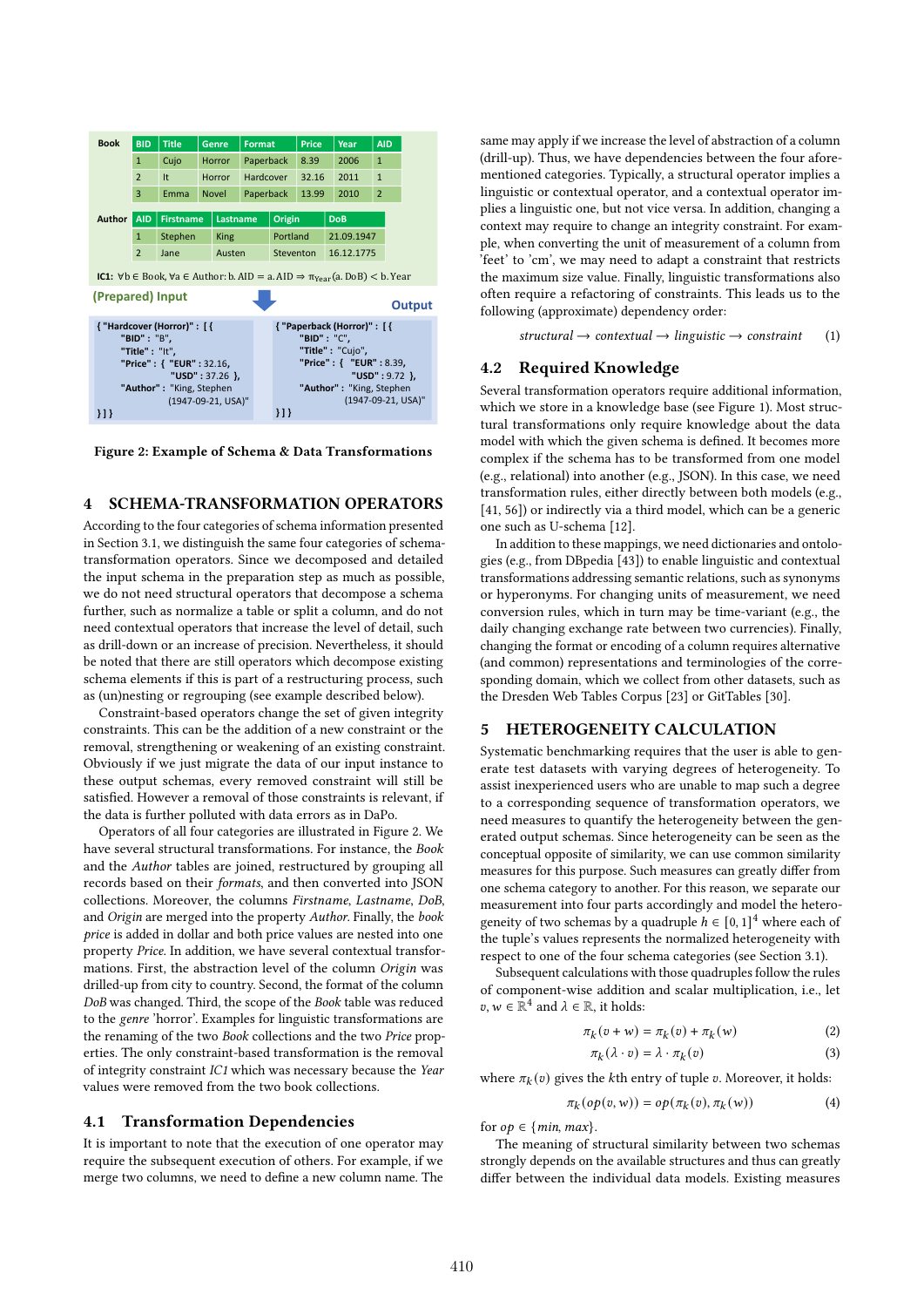| <b>Book</b>                                                                                                                          | <b>BID</b>     | <b>Title</b>     | <b>Genre</b> |               | <b>Format</b> |                                             | <b>Price</b>             | Year       | <b>AID</b>     |  |
|--------------------------------------------------------------------------------------------------------------------------------------|----------------|------------------|--------------|---------------|---------------|---------------------------------------------|--------------------------|------------|----------------|--|
|                                                                                                                                      | $\mathbf{1}$   | Cujo             |              | <b>Horror</b> | Paperback     |                                             | 8.39                     | 2006       | $\mathbf{1}$   |  |
|                                                                                                                                      | $\overline{2}$ | It               |              | Horror        | Hardcover     |                                             | 32.16                    | 2011       | $\mathbf{1}$   |  |
|                                                                                                                                      | 3              | Emma             | <b>Novel</b> |               | Paperback     |                                             | 13.99                    | 2010       | $\overline{2}$ |  |
| <b>Author</b>                                                                                                                        | <b>AID</b>     | <b>Firstname</b> |              | Lastname      |               | Origin                                      |                          | <b>DoB</b> |                |  |
|                                                                                                                                      | $\mathbf{1}$   | Stephen          |              | <b>King</b>   |               | Portland                                    |                          | 21.09.1947 |                |  |
|                                                                                                                                      | $\overline{2}$ | Jane             |              | Austen        |               | Steventon                                   |                          | 16.12.1775 |                |  |
| <b>IC1:</b> $\forall$ b $\in$ Book, $\forall$ a $\in$ Author: b. AID = a. AID $\Rightarrow$ $\pi$ <sub>Year</sub> (a. DoB) < b. Year |                |                  |              |               |               |                                             |                          |            |                |  |
| (Prepared) Input                                                                                                                     |                |                  |              |               |               |                                             |                          |            |                |  |
| <b>Output</b>                                                                                                                        |                |                  |              |               |               |                                             |                          |            |                |  |
| { "Hardcover (Horror)" : [ {                                                                                                         |                |                  |              |               |               | { "Paperback (Horror)" : [ {<br>"BID": "C". |                          |            |                |  |
| "BID" : "B",<br>"Title" : "It",                                                                                                      |                |                  |              |               |               |                                             | "Title": "Cujo",         |            |                |  |
| "Price": { "EUR": 32.16,                                                                                                             |                |                  |              |               |               |                                             | "Price": { "EUR": 8.39,  |            |                |  |
| "USD": $37.26$ }                                                                                                                     |                |                  |              |               |               |                                             | "USD": $9.72$ }          |            |                |  |
| "Author": "King, Stephen                                                                                                             |                |                  |              |               |               |                                             | "Author": "King, Stephen |            |                |  |
| (1947-09-21, USA)"<br>}]}                                                                                                            |                |                  |              |               |               | 11                                          | (1947-09-21, USA)"       |            |                |  |

Figure 2: Example of Schema & Data Transformations

# 4 SCHEMA-TRANSFORMATION OPERATORS

According to the four categories of schema information presented in Section 3.1, we distinguish the same four categories of schematransformation operators. Since we decomposed and detailed the input schema in the preparation step as much as possible, we do not need structural operators that decompose a schema further, such as normalize a table or split a column, and do not need contextual operators that increase the level of detail, such as drill-down or an increase of precision. Nevertheless, it should be noted that there are still operators which decompose existing schema elements if this is part of a restructuring process, such as (un)nesting or regrouping (see example described below).

Constraint-based operators change the set of given integrity constraints. This can be the addition of a new constraint or the removal, strengthening or weakening of an existing constraint. Obviously if we just migrate the data of our input instance to these output schemas, every removed constraint will still be satisfied. However a removal of those constraints is relevant, if the data is further polluted with data errors as in DaPo.

Operators of all four categories are illustrated in Figure 2. We have several structural transformations. For instance, the Book and the Author tables are joined, restructured by grouping all records based on their formats, and then converted into JSON collections. Moreover, the columns Firstname, Lastname, DoB, and Origin are merged into the property Author. Finally, the book price is added in dollar and both price values are nested into one property Price. In addition, we have several contextual transformations. First, the abstraction level of the column Origin was drilled-up from city to country. Second, the format of the column DoB was changed. Third, the scope of the Book table was reduced to the genre 'horror'. Examples for linguistic transformations are the renaming of the two Book collections and the two Price properties. The only constraint-based transformation is the removal of integrity constraint IC1 which was necessary because the Year values were removed from the two book collections.

## 4.1 Transformation Dependencies

It is important to note that the execution of one operator may require the subsequent execution of others. For example, if we merge two columns, we need to define a new column name. The

same may apply if we increase the level of abstraction of a column (drill-up). Thus, we have dependencies between the four aforementioned categories. Typically, a structural operator implies a linguistic or contextual operator, and a contextual operator implies a linguistic one, but not vice versa. In addition, changing a context may require to change an integrity constraint. For example, when converting the unit of measurement of a column from 'feet' to 'cm', we may need to adapt a constraint that restricts the maximum size value. Finally, linguistic transformations also often require a refactoring of constraints. This leads us to the following (approximate) dependency order:

structural  $\rightarrow$  contextual  $\rightarrow$  linguistic  $\rightarrow$  constraint (1)

## 4.2 Required Knowledge

Several transformation operators require additional information, which we store in a knowledge base (see Figure 1). Most structural transformations only require knowledge about the data model with which the given schema is defined. It becomes more complex if the schema has to be transformed from one model (e.g., relational) into another (e.g., JSON). In this case, we need transformation rules, either directly between both models (e.g., [41, 56]) or indirectly via a third model, which can be a generic one such as U-schema [12].

In addition to these mappings, we need dictionaries and ontologies (e.g., from DBpedia [43]) to enable linguistic and contextual transformations addressing semantic relations, such as synonyms or hyperonyms. For changing units of measurement, we need conversion rules, which in turn may be time-variant (e.g., the daily changing exchange rate between two currencies). Finally, changing the format or encoding of a column requires alternative (and common) representations and terminologies of the corresponding domain, which we collect from other datasets, such as the Dresden Web Tables Corpus [23] or GitTables [30].

# 5 HETEROGENEITY CALCULATION

Systematic benchmarking requires that the user is able to generate test datasets with varying degrees of heterogeneity. To assist inexperienced users who are unable to map such a degree to a corresponding sequence of transformation operators, we need measures to quantify the heterogeneity between the generated output schemas. Since heterogeneity can be seen as the conceptual opposite of similarity, we can use common similarity measures for this purpose. Such measures can greatly differ from one schema category to another. For this reason, we separate our measurement into four parts accordingly and model the heterogeneity of two schemas by a quadruple  $h \in [0, 1]^4$  where each of the tuple's values represents the normalized heterogeneity with respect to one of the four schema categories (see Section 3.1).

Subsequent calculations with those quadruples follow the rules of component-wise addition and scalar multiplication, i.e., let  $v, w \in \mathbb{R}^4$  and  $\lambda \in \mathbb{R}$ , it holds:

$$
\pi_k(v + w) = \pi_k(v) + \pi_k(w) \tag{2}
$$

$$
\pi_k(\lambda \cdot v) = \lambda \cdot \pi_k(v) \tag{3}
$$

where  $\pi_k(v)$  gives the *k*th entry of tuple v. Moreover, it holds:

$$
\pi_k(op(v, w)) = op(\pi_k(v), \pi_k(w))
$$
\n(4)

for  $op \in \{min, max\}$ .

The meaning of structural similarity between two schemas strongly depends on the available structures and thus can greatly differ between the individual data models. Existing measures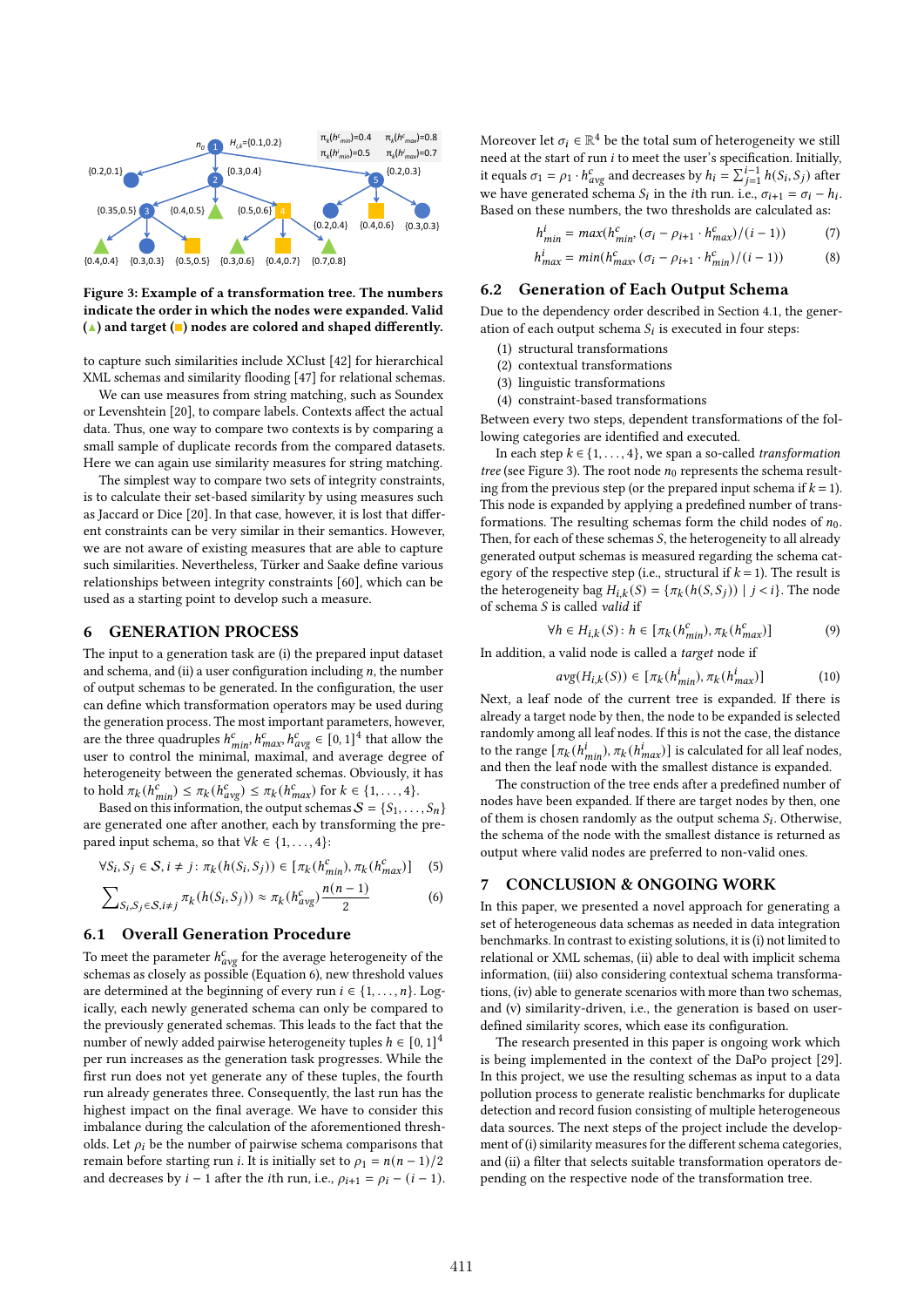

Figure 3: Example of a transformation tree. The numbers indicate the order in which the nodes were expanded. Valid  $(\triangle)$  and target  $(\square)$  nodes are colored and shaped differently.

to capture such similarities include XClust [42] for hierarchical XML schemas and similarity flooding [47] for relational schemas.

We can use measures from string matching, such as Soundex or Levenshtein [20], to compare labels. Contexts affect the actual data. Thus, one way to compare two contexts is by comparing a small sample of duplicate records from the compared datasets. Here we can again use similarity measures for string matching.

The simplest way to compare two sets of integrity constraints, is to calculate their set-based similarity by using measures such as Jaccard or Dice [20]. In that case, however, it is lost that different constraints can be very similar in their semantics. However, we are not aware of existing measures that are able to capture such similarities. Nevertheless, Türker and Saake define various relationships between integrity constraints [60], which can be used as a starting point to develop such a measure.

## 6 GENERATION PROCESS

The input to a generation task are (i) the prepared input dataset and schema, and (ii) a user configuration including  $n$ , the number of output schemas to be generated. In the configuration, the user can define which transformation operators may be used during the generation process. The most important parameters, however, are the three quadruples  $h_{min}^c$ ,  $h_{max}^c$ ,  $h_{avg}^c \in [0, 1]^4$  that allow the user to control the minimal, maximal, and average degree of heterogeneity between the generated schemas. Obviously, it has to hold  $\pi_k(h_{\min}^c) \leq \pi_k(h_{avg}^c) \leq \pi_k(h_{\max}^c)$  for  $k \in \{1, ..., 4\}$ .

Based on this information, the output schemas  $S = \{S_1, \ldots, S_n\}$ are generated one after another, each by transforming the prepared input schema, so that  $\forall k \in \{1, \ldots, 4\}$ :

$$
\forall S_i, S_j \in \mathcal{S}, i \neq j \colon \pi_k(h(S_i, S_j)) \in [\pi_k(h_{\min}^c), \pi_k(h_{\max}^c)] \tag{5}
$$

$$
\sum_{S_i, S_j \in S, i \neq j} \pi_k(h(S_i, S_j)) \approx \pi_k(h_{avg}^c) \frac{n(n-1)}{2}
$$
 (6)

## 6.1 Overall Generation Procedure

To meet the parameter  $h_{avg}^c$  for the average heterogeneity of the schemas as closely as possible (Equation 6), new threshold values are determined at the beginning of every run  $i \in \{1, \ldots, n\}$ . Logically, each newly generated schema can only be compared to the previously generated schemas. This leads to the fact that the number of newly added pairwise heterogeneity tuples  $h \in [0,1]^4$ per run increases as the generation task progresses. While the first run does not yet generate any of these tuples, the fourth run already generates three. Consequently, the last run has the highest impact on the final average. We have to consider this imbalance during the calculation of the aforementioned thresholds. Let  $\rho_i$  be the number of pairwise schema comparisons that remain before starting run *i*. It is initially set to  $\rho_1 = n(n - 1)/2$ and decreases by  $i - 1$  after the *i*th run, i.e.,  $\rho_{i+1} = \rho_i - (i - 1)$ . Moreover let  $\sigma_i \in \mathbb{R}^4$  be the total sum of heterogeneity we still need at the start of run  $i$  to meet the user's specification. Initially, it equals  $\sigma_1 = \rho_1 \cdot h_{avg}^c$  and decreases by  $h_i = \sum_{j=1}^{i-1} h(S_i, S_j)$  after we have generated schema  $S_i$  in the *i*th run. i.e.,  $\sigma_{i+1} = \sigma_i - h_i$ . Based on these numbers, the two thresholds are calculated as:

$$
h_{min}^i = max(h_{min}^c, (\sigma_i - \rho_{i+1} \cdot h_{max}^c)/(i-1))
$$
 (7)

$$
h_{max}^i = min(h_{max}^c \left(\sigma_i - \rho_{i+1} \cdot h_{min}^c\right)/(i-1))
$$
 (8)

## 6.2 Generation of Each Output Schema

Due to the dependency order described in Section 4.1, the generation of each output schema  $S_i$  is executed in four steps:

- (1) structural transformations
- (2) contextual transformations
- (3) linguistic transformations
- (4) constraint-based transformations

Between every two steps, dependent transformations of the following categories are identified and executed.

In each step  $k \in \{1, \ldots, 4\}$ , we span a so-called transformation tree (see Figure 3). The root node  $n_0$  represents the schema resulting from the previous step (or the prepared input schema if  $k = 1$ ). This node is expanded by applying a predefined number of transformations. The resulting schemas form the child nodes of  $n_0$ . Then, for each of these schemas  $S$ , the heterogeneity to all already generated output schemas is measured regarding the schema category of the respective step (i.e., structural if  $k = 1$ ). The result is the heterogeneity bag  $H_{i,k}(S) = \{ \pi_k(h(S, S_i)) \mid j < i \}.$  The node of schema  $S$  is called valid if

$$
\forall h \in H_{i,k}(S) : h \in [\pi_k(h_{min}^c), \pi_k(h_{max}^c)] \tag{9}
$$

In addition, a valid node is called a target node if

$$
avg(H_{i,k}(S)) \in [\pi_k(h_{min}^i), \pi_k(h_{max}^i)]
$$
\n(10)

Next, a leaf node of the current tree is expanded. If there is already a target node by then, the node to be expanded is selected randomly among all leaf nodes. If this is not the case, the distance to the range  $[\pi_k(h_{min}^i), \pi_k(h_{max}^i)]$  is calculated for all leaf nodes, and then the leaf node with the smallest distance is expanded.

The construction of the tree ends after a predefined number of nodes have been expanded. If there are target nodes by then, one of them is chosen randomly as the output schema  $S_i$ . Otherwise, the schema of the node with the smallest distance is returned as output where valid nodes are preferred to non-valid ones.

## 7 CONCLUSION & ONGOING WORK

In this paper, we presented a novel approach for generating a set of heterogeneous data schemas as needed in data integration benchmarks. In contrast to existing solutions, it is (i) not limited to relational or XML schemas, (ii) able to deal with implicit schema information, (iii) also considering contextual schema transformations, (iv) able to generate scenarios with more than two schemas, and (v) similarity-driven, i.e., the generation is based on userdefined similarity scores, which ease its configuration.

The research presented in this paper is ongoing work which is being implemented in the context of the DaPo project [29]. In this project, we use the resulting schemas as input to a data pollution process to generate realistic benchmarks for duplicate detection and record fusion consisting of multiple heterogeneous data sources. The next steps of the project include the development of (i) similarity measures for the different schema categories, and (ii) a filter that selects suitable transformation operators depending on the respective node of the transformation tree.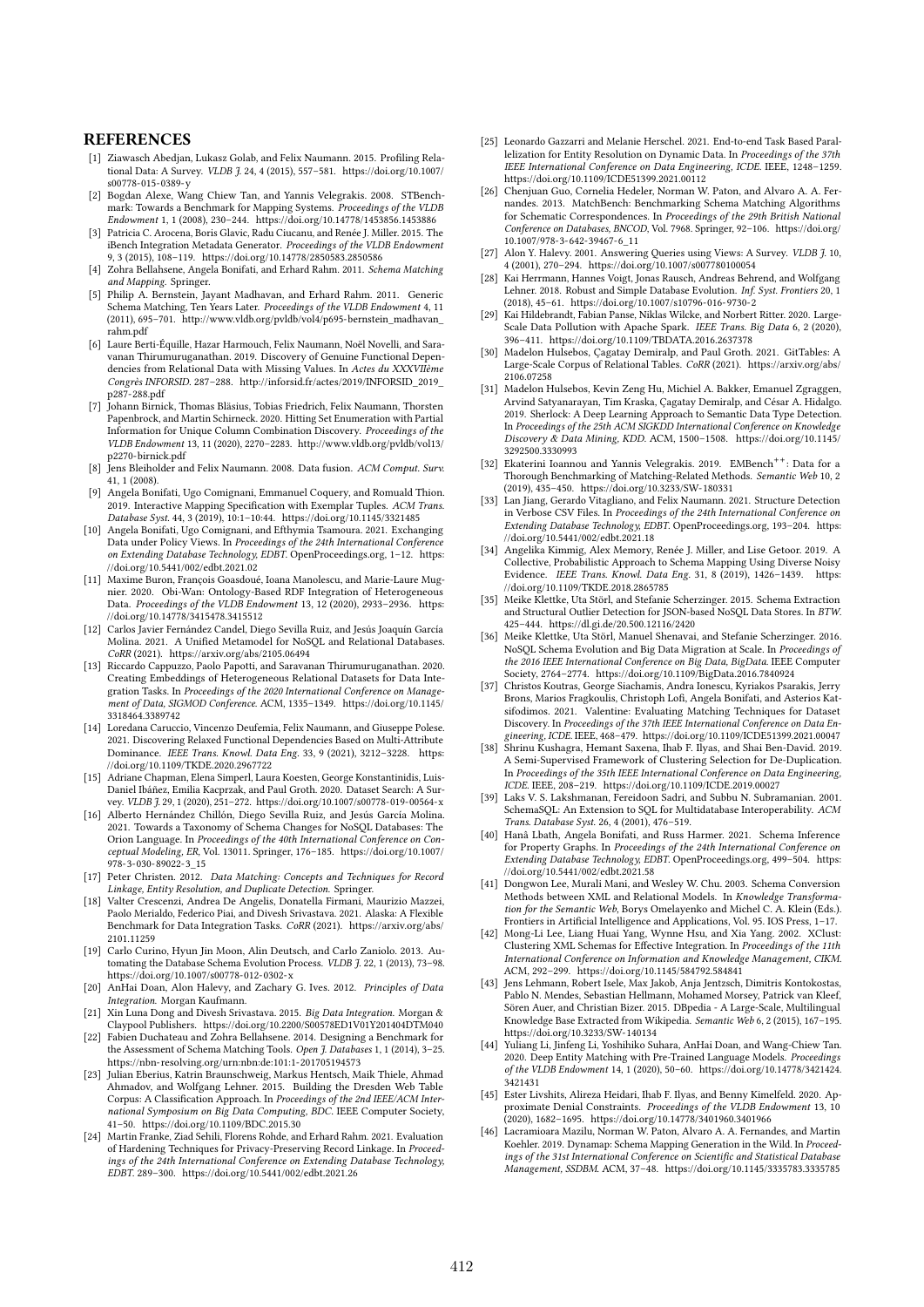### **REFERENCES**

- [1] Ziawasch Abedjan, Lukasz Golab, and Felix Naumann. 2015. Profiling Relational Data: A Survey. VLDB J. 24, 4 (2015), 557–581. https://doi.org/10.1007/ s00778-015-0389-y
- [2] Bogdan Alexe, Wang Chiew Tan, and Yannis Velegrakis. 2008. STBenchmark: Towards a Benchmark for Mapping Systems. Proceedings of the VLDB Endowment 1, 1 (2008), 230–244. https://doi.org/10.14778/1453856.1453886
- [3] Patricia C. Arocena, Boris Glavic, Radu Ciucanu, and Renée J. Miller. 2015. The iBench Integration Metadata Generator. Proceedings of the VLDB Endowment 9, 3 (2015), 108–119. https://doi.org/10.14778/2850583.2850586
- Zohra Bellahsene, Angela Bonifati, and Erhard Rahm. 2011. Schema Matching and Mapping. Springer.
- [5] Philip A. Bernstein, Jayant Madhavan, and Erhard Rahm. 2011. Generic Schema Matching, Ten Years Later. Proceedings of the VLDB Endowment 4, 11<br>(2011), 695–701. http://www.vldb.org/pvldb/vol4/p695-bernstein\_madhavan\_ rahm.pdf
- [6] Laure Berti-Équille, Hazar Harmouch, Felix Naumann, Noël Novelli, and Saravanan Thirumuruganathan. 2019. Discovery of Genuine Functional Dependencies from Relational Data with Missing Values. In Actes du XXXVIIème Congrès INFORSID. 287–288. http://inforsid.fr/actes/2019/INFORSID\_2019\_ p287-288.pdf
- [7] Johann Birnick, Thomas Bläsius, Tobias Friedrich, Felix Naumann, Thorsten Papenbrock, and Martin Schirneck. 2020. Hitting Set Enumeration with Partial Information for Unique Column Combination Discovery. Proceedings of the VLDB Endowment 13, 11 (2020), 2270–2283. http://www.vldb.org/pvldb/vol13/ p2270-birnick.pdf
- [8] Jens Bleiholder and Felix Naumann. 2008. Data fusion. ACM Comput. Surv. 41, 1 (2008).
- [9] Angela Bonifati, Ugo Comignani, Emmanuel Coquery, and Romuald Thion. 2019. Interactive Mapping Specification with Exemplar Tuples. ACM Trans. Database Syst. 44, 3 (2019), 10:1–10:44. https://doi.org/10.1145/3321485
- [10] Angela Bonifati, Ugo Comignani, and Efthymia Tsamoura. 2021. Exchanging Data under Policy Views. In Proceedings of the 24th International Conference on Extending Database Technology, EDBT. OpenProceedings.org, 1–12. https: //doi.org/10.5441/002/edbt.2021.02
- [11] Maxime Buron, François Goasdoué, Ioana Manolescu, and Marie-Laure Mugnier. 2020. Obi-Wan: Ontology-Based RDF Integration of Heterogeneous Data. Proceedings of the VLDB Endowment 13, 12 (2020), 2933-2936. https: //doi.org/10.14778/3415478.3415512
- [12] Carlos Javier Fernández Candel, Diego Sevilla Ruiz, and Jesús Joaquín García Molina. 2021. A Unified Metamodel for NoSQL and Relational Databases. CoRR (2021). https://arxiv.org/abs/2105.06494
- [13] Riccardo Cappuzzo, Paolo Papotti, and Saravanan Thirumuruganathan. 2020. Creating Embeddings of Heterogeneous Relational Datasets for Data Integration Tasks. In Proceedings of the 2020 International Conference on Management of Data, SIGMOD Conference, ACM, 1335-1349. https://doi.org/10.1145/ 3318464.3389742
- [14] Loredana Caruccio, Vincenzo Deufemia, Felix Naumann, and Giuseppe Polese. 2021. Discovering Relaxed Functional Dependencies Based on Multi-Attribute Dominance. IEEE Trans. Knowl. Data Eng. 33, 9 (2021), 3212–3228. https: //doi.org/10.1109/TKDE.2020.2967722
- [15] Adriane Chapman, Elena Simperl, Laura Koesten, George Konstantinidis, Luis-Daniel Ibáñez, Emilia Kacprzak, and Paul Groth. 2020. Dataset Search: A Survey. VLDB J. 29, 1 (2020), 251–272. https://doi.org/10.1007/s00778-019-00564-x
- [16] Alberto Hernández Chillón, Diego Sevilla Ruiz, and Jesús García Molina. 2021. Towards a Taxonomy of Schema Changes for NoSQL Databases: The Orion Language. In Proceedings of the 40th International Conference on Conceptual Modeling, ER, Vol. 13011. Springer, 176–185. https://doi.org/10.1007/ 978-3-030-89022-3\_15
- [17] Peter Christen. 2012. Data Matching: Concepts and Techniques for Record Linkage, Entity Resolution, and Duplicate Detection. Springer.
- [18] Valter Crescenzi, Andrea De Angelis, Donatella Firmani, Maurizio Mazzei, Paolo Merialdo, Federico Piai, and Divesh Srivastava. 2021. Alaska: A Flexible Benchmark for Data Integration Tasks. CoRR (2021). https://arxiv.org/abs/ 2101.11259
- [19] Carlo Curino, Hyun Jin Moon, Alin Deutsch, and Carlo Zaniolo. 2013. Automating the Database Schema Evolution Process. VLDB  $J. 22, 1$  (2013), 73-98. https://doi.org/10.1007/s00778-012-0302-x
- [20] AnHai Doan, Alon Halevy, and Zachary G. Ives. 2012. Principles of Data Integration. Morgan Kaufmann.
- [21] Xin Luna Dong and Divesh Srivastava. 2015. Big Data Integration. Morgan & Claypool Publishers. https://doi.org/10.2200/S00578ED1V01Y201404DTM040
- [22] Fabien Duchateau and Zohra Bellahsene. 2014. Designing a Benchmark for the Assessment of Schema Matching Tools. Open J. Databases 1, 1 (2014), 3-25. https://nbn-resolving.org/urn:nbn:de:101:1-201705194573
- [23] Julian Eberius, Katrin Braunschweig, Markus Hentsch, Maik Thiele, Ahmad Ahmadov, and Wolfgang Lehner. 2015. Building the Dresden Web Table Corpus: A Classification Approach. In Proceedings of the 2nd IEEE/ACM Inter-national Symposium on Big Data Computing, BDC. IEEE Computer Society, 41–50. https://doi.org/10.1109/BDC.2015.30
- [24] Martin Franke, Ziad Sehili, Florens Rohde, and Erhard Rahm. 2021. Evaluation of Hardening Techniques for Privacy-Preserving Record Linkage. In Proceedings of the 24th International Conference on Extending Database Technology, EDBT. 289–300. https://doi.org/10.5441/002/edbt.2021.26
- [25] Leonardo Gazzarri and Melanie Herschel. 2021. End-to-end Task Based Parallelization for Entity Resolution on Dynamic Data. In Proceedings of the 37th IEEE International Conference on Data Engineering, ICDE. IEEE, 1248–1259. https://doi.org/10.1109/ICDE51399.2021.00112
- [26] Chenjuan Guo, Cornelia Hedeler, Norman W. Paton, and Alvaro A. A. Fernandes. 2013. MatchBench: Benchmarking Schema Matching Algorithms for Schematic Correspondences. In Proceedings of the 29th British National Conference on Databases, BNCOD, Vol. 7968. Springer, 92–106. https://doi.org/ 10.1007/978-3-642-39467-6\_11
- [27] Alon Y. Halevy. 2001. Answering Queries using Views: A Survey. VLDB J. 10, 4 (2001), 270–294. https://doi.org/10.1007/s007780100054
- Kai Herrmann, Hannes Voigt, Jonas Rausch, Andreas Behrend, and Wolfgang Lehner. 2018. Robust and Simple Database Evolution. Inf. Syst. Frontiers 20, 1 (2018), 45–61. https://doi.org/10.1007/s10796-016-9730-2
- [29] Kai Hildebrandt, Fabian Panse, Niklas Wilcke, and Norbert Ritter. 2020. Large-Scale Data Pollution with Apache Spark. IEEE Trans. Big Data 6, 2 (2020), 396–411. https://doi.org/10.1109/TBDATA.2016.2637378
- [30] Madelon Hulsebos, Çagatay Demiralp, and Paul Groth. 2021. GitTables: A Large-Scale Corpus of Relational Tables. CoRR (2021). https://arxiv.org/abs/ 2106.07258
- [31] Madelon Hulsebos, Kevin Zeng Hu, Michiel A. Bakker, Emanuel Zgraggen, Arvind Satyanarayan, Tim Kraska, Çagatay Demiralp, and César A. Hidalgo. 2019. Sherlock: A Deep Learning Approach to Semantic Data Type Detection. In Proceedings of the 25th ACM SIGKDD International Conference on Knowledge Discovery & Data Mining, KDD. ACM, 1500–1508. https://doi.org/10.1145/ 3292500.3330993
- [32] Ekaterini Ioannou and Yannis Velegrakis. 2019. EMBench<sup>++</sup>: Data for a Thorough Benchmarking of Matching-Related Methods. Semantic Web 10, 2 (2019), 435–450. https://doi.org/10.3233/SW-180331
- [33] Lan Jiang, Gerardo Vitagliano, and Felix Naumann. 2021. Structure Detection in Verbose CSV Files. In Proceedings of the 24th International Conference on Extending Database Technology, EDBT. OpenProceedings.org, 193–204. https: //doi.org/10.5441/002/edbt.2021.18
- [34] Angelika Kimmig, Alex Memory, Renée J. Miller, and Lise Getoor. 2019. A Collective, Probabilistic Approach to Schema Mapping Using Diverse Noisy Evidence. IEEE Trans. Knowl. Data Eng. 31, 8 (2019), 1426-1439. https: //doi.org/10.1109/TKDE.2018.2865785
- [35] Meike Klettke, Uta Störl, and Stefanie Scherzinger. 2015. Schema Extraction and Structural Outlier Detection for JSON-based NoSQL Data Stores. In BTW. 425–444. https://dl.gi.de/20.500.12116/2420
- Meike Klettke, Uta Störl, Manuel Shenavai, and Stefanie Scherzinger. 2016. NoSQL Schema Evolution and Big Data Migration at Scale. In Proceedings of the 2016 IEEE International Conference on Big Data, BigData. IEEE Computer Society, 2764–2774. https://doi.org/10.1109/BigData.2016.7840924
- [37] Christos Koutras, George Siachamis, Andra Ionescu, Kyriakos Psarakis, Jerry Brons, Marios Fragkoulis, Christoph Lofi, Angela Bonifati, and Asterios Katsifodimos. 2021. Valentine: Evaluating Matching Techniques for Dataset Discovery. In Proceedings of the 37th IEEE International Conference on Data Engineering, ICDE. IEEE, 468–479. https://doi.org/10.1109/ICDE51399.2021.00047
- [38] Shrinu Kushagra, Hemant Saxena, Ihab F. Ilyas, and Shai Ben-David. 2019. A Semi-Supervised Framework of Clustering Selection for De-Duplication. In Proceedings of the 35th IEEE International Conference on Data Engineering,
- ICDE. IEEE, 208–219. https://doi.org/10.1109/ICDE.2019.00027 [39] Laks V. S. Lakshmanan, Fereidoon Sadri, and Subbu N. Subramanian. 2001. SchemaSQL: An Extension to SQL for Multidatabase Interoperability. ACM Trans. Database Syst. 26, 4 (2001), 476–519.
- [40] Hanâ Lbath, Angela Bonifati, and Russ Harmer. 2021. Schema Inference for Property Graphs. In Proceedings of the 24th International Conference on Extending Database Technology, EDBT. OpenProceedings.org, 499–504. https: //doi.org/10.5441/002/edbt.2021.58
- [41] Dongwon Lee, Murali Mani, and Wesley W. Chu. 2003. Schema Conversion Methods between XML and Relational Models. In Knowledge Transformation for the Semantic Web, Borys Omelayenko and Michel C. A. Klein (Eds.). Frontiers in Artificial Intelligence and Applications, Vol. 95. IOS Press, 1–17.
- [42] Mong-Li Lee, Liang Huai Yang, Wynne Hsu, and Xia Yang. 2002. XClust: Clustering XML Schemas for Effective Integration. In Proceedings of the 11th International Conference on Information and Knowledge Management, CIKM. ACM, 292–299. https://doi.org/10.1145/584792.584841
- Jens Lehmann, Robert Isele, Max Jakob, Anja Jentzsch, Dimitris Kontokostas, Pablo N. Mendes, Sebastian Hellmann, Mohamed Morsey, Patrick van Kleef, Sören Auer, and Christian Bizer. 2015. DBpedia - A Large-Scale, Multilingual Knowledge Base Extracted from Wikipedia. Semantic Web 6, 2 (2015), 167–195. https://doi.org/10.3233/SW-140134
- [44] Yuliang Li, Jinfeng Li, Yoshihiko Suhara, AnHai Doan, and Wang-Chiew Tan. 2020. Deep Entity Matching with Pre-Trained Language Models. Proceedings of the VLDB Endowment 14, 1 (2020), 50–60. https://doi.org/10.14778/3421424. 3421431
- [45] Ester Livshits, Alireza Heidari, Ihab F. Ilyas, and Benny Kimelfeld. 2020. Approximate Denial Constraints. Proceedings of the VLDB Endowment 13, 10 (2020), 1682–1695. https://doi.org/10.14778/3401960.3401966
- [46] Lacramioara Mazilu, Norman W. Paton, Alvaro A. A. Fernandes, and Martin Koehler. 2019. Dynamap: Schema Mapping Generation in the Wild. In Proceedings of the 31st International Conference on Scientific and Statistical Database Management, SSDBM. ACM, 37–48. https://doi.org/10.1145/3335783.3335785